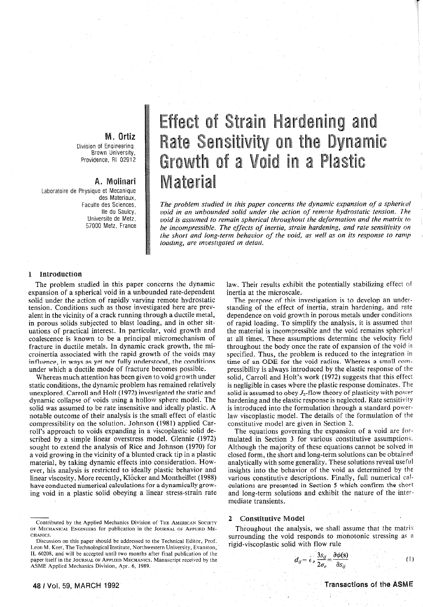# M. **Ortiz**

Division of Enqineerinq Brown University, Providence, RI 02912

# A. Molinari

Laboratoire de Physique et Mecanique des Materiaux, Faculte des Sciences, lie du Saulcy, Universite de Metz, 57000 Metz, France

# **Effect of Strain Hardening and** Rate Sensitivity on the Dynamic Growth of a Void in a Plastic Material

*The problem studied in this paper concerns the dynamic expansion of a spherical void in an unbounded solid under the action of remote hydrostatic tension. The void* is *assumed to remain spherical throughout the deformation and the matrix to*  be incompressible. The effects of inertia, strain hardening, and rate sensitivity on *the short and long-term behavior of the void, as well as on its response to ramp toadmg, are mvest1gated m detail.* 

## l Introduction

The problem studied in this paper concerns the dynamic expansion of a spherical void in a unbounded rate-dependent solid under the action of rapidly varying remote hydrostatic tension. Conditions such as those investigated here are prevalent in the vicinity of a crack running through a ductile metal, in porous solids subjected to blast loading, and in other situations of practical interest. In particular, void growth and coalescence is known to be a principal micromechanism of fracture in ductile metals. In dynamic crack growth, the microinertia associated with the rapid growth of the voids may influence, in ways as yet not fully understood, the conditions under which a ductile mode of fracture becomes possible.

Whereas much attention has been given to void growth under static conditions, the dynamic problem has remained relatively unexplored. Carroll and Holt (1972) investigated the static and dynamic collapse of voids using a hollow sphere model. The solid was assumed to be rate insensitive and ideally plastic. A notable outcome of their analysis is the small effect of elastic compressibility on the solution. Johnson (1981) applied Carroll's approach to voids expanding in a viscoplastic solid described by a simple linear overstress model. Glennie (1972) sought to extend the analysis of Rice and Johnson (1970) for a void growing in the vicinity of a blunted crack tip in a plastic material, by taking dynamic effects into consideration. However, his analysis is restricted to ideally plastic behavior and linear viscosity. More recently, KIOcker and Montheillet (1988) have conducted numerical calculations for a dynamically growing void in a plastic solid obeying a linear stress-strain rate

Contributed by the Applied Mechanics Division of THE AMERICAN SOCIETY OF MECHANICAL ENGINEERS for publication in the JOURNAL OF APPLIED ME-CHANICS.

Discussion on this paper should be addressed to the Technical Editor, Prof. Leon M. Keer, The Technological 1nstitute, Northwestern University, Evanston, IL 60208, and will be accepted until two months after final publication of the paper itself in the JOURNAL OF APPLIED MECHANICS. Manuscript received by the ASME Applied Mechanics Division, Apr. 6, 1989.

law. Their results exhibit the potentially stabilizing effect of inertia at the microscale.

The purpose of this investigation is to develop an understanding of the effect of inertia, strain hardening, and rate dependence on void growth in porous metals under conditiom of rapid loading. To simplify the analysis, it is assumed that the material is incompressible and the void remains spherical at all times. These assumptions determine the velocity field throughout the body once the rate of expansion of the void is specified. Thus, the problem is reduced to the integration in time of an ODE for the void radius. Whereas a small compressibility is always introduced by the elastic response of the solid, Carroll and Holt's work (1972) suggests that this effect is negligible in cases where the plastic response dominates. The solid is assumed to obey  $J_2$ -flow theory of plasticity with power hardening and the elastic response is neglected. Rate sensitivity is introduced into the formulation through a standard powerlaw viscoplastic model. The details of the formulation of the constitutive model are given in Section 2.

The equations governing the expansion of a void are formulated in Section 3 for various constitutive assumptions. Although the majority of these equations cannot be solved in closed form, the short and long-term solutions can be obtained analytically with some generality. These solutions reveal useful insights into the behavior of the void as determined by the various constitutive descriptions. Finally, full numerical calculations are presented in Section 5 which confirm the short and long-term solutions and exhibit the nature of the intermediate transients.

### 2 Constiuuive Model

Throughout the analysis, we shall assume that the matrix surrounding the void responds to monotonic stressing as a rigid-viscoplastic solid with flow rule

$$
d_{ij} = \epsilon_e \frac{3s_{ij}}{2\sigma_e} = \frac{\partial \phi(s)}{\partial s_{ij}} \tag{1}
$$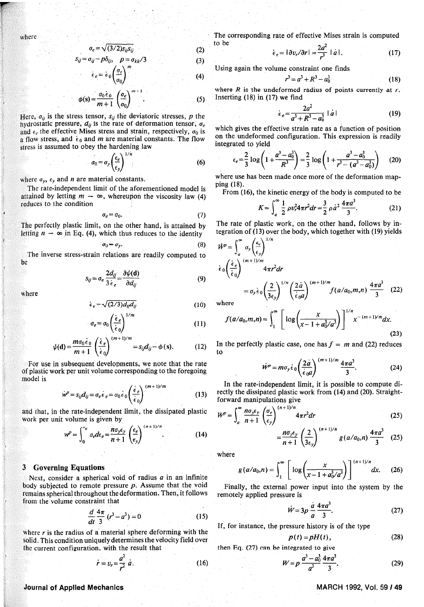$$
\sigma_e = \sqrt{(3/2)s_{ii}s_{ii}}\tag{2}
$$

$$
= \sigma_{ij} - p\delta_{ij}, \quad p = \sigma_{kk}/3 \tag{3}
$$

$$
e = \dot{\epsilon}_0 \left( \frac{\sigma_e}{\sigma_0} \right)^{11} \tag{4}
$$

$$
\text{(s)} = \frac{\sigma_0 \epsilon_0}{m+1} \left( \frac{\sigma_e}{\sigma_0} \right)^{m+1} \tag{5}
$$

Here,  $\sigma_{ij}$  is the stress tensor,  $s_{ij}$  the deviatoric stresses, p the hydrostatic pressure,  $d_{ij}$  is the rate of deformation tensor,  $\sigma_e$ and  $\epsilon_e$  the effective Mises stress and strain, respectively,  $\sigma_0$  is a flow stress, and  $\epsilon_0$  and m are material constants. The flow stress is assumed to obey the hardening law

$$
\sigma_0 = \sigma_y \left(\frac{\epsilon_e}{\epsilon_y}\right)^{1/n} \tag{6}
$$

where  $\sigma_{\nu}$ ,  $\epsilon_{\nu}$  and *n* are material constants.

 $S_{ij}$ 

The rate-independent limit of the aforementioned model is attained by letting  $m \rightarrow \infty$ , whereupon the viscosity law (4) reduces to the condition

$$
\sigma_e = \sigma_0. \tag{7}
$$

The perfectly plastic limit, on the other hand, is attained by letting  $n \to \infty$  in Eq. (4), which thus reduces to the identity

$$
\sigma_0 = \sigma_y. \tag{8}
$$

The inverse stress-strain relations are readily computed to he

$$
s_{ij} = \sigma_e \frac{2d_{ij}}{3\,\dot{\epsilon}_e} = \frac{\partial \psi(\mathbf{d})}{\partial d_{ij}} \tag{9}
$$

where

$$
\epsilon_e = \sqrt{(2/3)d_yd_y}
$$
\n
$$
\left(\frac{1}{2}\epsilon_e\right)^{1/m}
$$
\n(10)

$$
\sigma_e = \sigma_0 \left( \frac{\epsilon_e}{\dot{\epsilon}_0} \right) \tag{11}
$$

$$
\psi(\mathbf{d}) = \frac{m\sigma_0 \epsilon_0}{m+1} \left(\frac{\dot{\epsilon}_e}{\dot{\epsilon}_0}\right)^{(m+1)/m} = s_{ij}d_{ij} - \phi(s). \tag{12}
$$

For use in subsequent developments, we note that the rate of plastic work per unit volume corresponding to the foregoing model is

$$
w^p = s_{ij}d_{ij} = \sigma_e \epsilon_e = \sigma_0 \epsilon_0 \left(\frac{\epsilon_e}{\epsilon_0}\right)^{(m+1)/m}
$$
 (13)

and that, in the rate-independent limit, the dissipated plastic work per unit volume is given by

$$
w^p = \int_0^{\epsilon_e} \sigma_e d\epsilon_e = \frac{n\sigma_y \epsilon_y}{n+1} \left(\frac{\epsilon_e}{\epsilon_y}\right)^{(n+1)/n}.
$$
 (14)

#### **3** Governing Equations

Next, consider a spherical void of radius  $a$  in an infinite body subjected to remote pressure  $p$ . Assume that the void remains spherical throughout the deformation. Then, it follows from the volume constraint that

$$
\frac{d}{dt}\frac{4\pi}{3}(r^3 - a^3) = 0
$$
 (15)

where  $r$  is the radius of a material sphere deforming with the solid. This condition uniquely determines the velocity field over the current configuration, with the result that

$$
r = v_r = \frac{a^2}{r^2} a. \tag{16}
$$

The corresponding rate of effective Mises strain is computed to be

$$
\dot{\epsilon}_e = |\partial v_r/\partial r| = \frac{2a^2}{r^3} \mid a \mid. \tag{17}
$$

Using again the volume constraint one finds

$$
r^3 = a^3 + R^3 - a_0^3 \tag{18}
$$

where  $R$  is the undeformed radius of points currently at  $r$ . Inserting  $(18)$  in  $(17)$  we find

$$
\dot{\epsilon}_e = \frac{2a^2}{a^3 + R^3 - a_0^3} \mid \dot{a} \mid \tag{19}
$$

which gives the effective strain rate as a function of position on the undeformed configuration. This expression is readily integrated to vield

$$
\epsilon_e = \frac{2}{3} \log \left( 1 + \frac{a^3 - a_0^3}{R^3} \right) = \frac{2}{3} \log \left( 1 + \frac{a^3 - a_0^3}{r^3 - (a^3 - a_0^3)} \right) \tag{20}
$$

where use has been made once more of the deformation mapping (18).

From (16), the kinetic energy of the body is computed to be

$$
K = \int_{a}^{\infty} \frac{1}{2} \rho v_r^2 4\pi r^2 dr = \frac{3}{2} \rho a^2 \frac{4\pi a^3}{3}.
$$
 (21)

The rate of plastic work, on the other hand, follows by integration of (13) over the body, which together with (19) yields

$$
\dot{W}^{p} = \int_{a}^{\infty} \sigma_{y} \left( \frac{\epsilon_{c}}{\epsilon_{0}} \right)^{1/n} \n\dot{\epsilon}_{0} \left( \frac{\dot{\epsilon}_{e}}{\epsilon_{0}} \right)^{(m+1)/m} 4\pi r^{2} dr \n= \sigma_{y} \dot{\epsilon}_{0} \left( \frac{2}{3\epsilon_{y}} \right)^{1/n} \left( \frac{2\dot{a}}{\dot{\epsilon}_{0} a} \right)^{(m+1)/m} f(a/a_{0}, m, n) \frac{4\pi a^{3}}{3} (22) \nwhere
$$

$$
f(a/a_0, m, n) = \int_1^{\infty} \left[ \log \left( \frac{x}{x - 1 + a_0^3 / a^3} \right) \right]^{1/n} x^{-(m+1)/m} dx.
$$
 (23)

In the perfectly plastic case, one has  $f = m$  and (22) reduces  $to$ 

$$
\dot{W}^p = m\sigma_y \dot{\epsilon}_0 \left(\frac{2\dot{a}}{\dot{\epsilon}_0 a}\right)^{(m+1)/m} \frac{4\pi a^3}{3}.
$$
 (24)

In the rate-independent limit, it is possible to compute directly the dissipated plastic work from (14) and (20). Straightforward manipulations give

$$
W^{p} = \int_{a}^{\infty} \frac{n \sigma_{y} \epsilon_{y}}{n+1} \left(\frac{\sigma_{e}}{\epsilon_{y}}\right)^{(n+1)/n} 4\pi r^{2} dr \qquad (25)
$$

$$
= \frac{n\sigma_{y}\epsilon_{y}}{n+1}\left(\frac{2}{3\epsilon_{y}}\right)^{(n+1)/n}g(a/a_{0},n)\frac{4\pi a^{3}}{3}
$$
 (25)

where

$$
g(a/a_0,n)=\int_1^\infty \left[\log\left(\frac{x}{x-1+a_0^3/a^3}\right)\right]^{(n+1)/n}dx.\qquad(26)
$$

Finally, the external power input into the system by the remotely applied pressure is

$$
W = 3p \frac{a}{a} \frac{4\pi a^3}{3}.
$$
 (27)

If, for instance, the pressure history is of the type

$$
p(t) = pH(t), \tag{28}
$$

then Eq. (27) can be integrated to give

$$
W = p \frac{a^3 - a_0^3}{a^3} \frac{4\pi a^3}{3}.
$$
 (29)

# **Journal of Applied Mechanics**

MARCH 1992, Vol. 59 / 49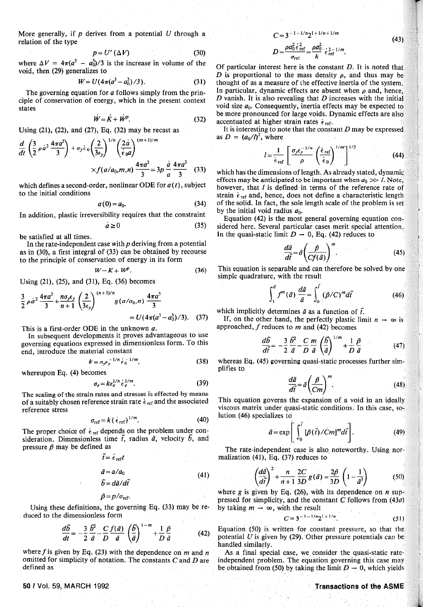More generally, if  $p$  derives from a potential  $U$  through a relation of the type

$$
p = U' \left(\Delta V\right) \tag{30}
$$

where  $\Delta V = 4\pi (a^3 - a_0^3)/3$  is the increase in volume of the void, then (29) generalizes to

$$
W = U(4\pi(a^3 - a_0^3)/3). \tag{31}
$$

The governing equation for *o* follows simply from the principle of conservation of energy, which in the present context states

$$
\dot{W} = \dot{K} + W^p. \tag{32}
$$

Using (21), (22), and (27), Eq. (32) may be recast as

$$
\frac{d}{dt}\left(\frac{3}{2}\rho\dot{a}^2\frac{4\pi a^3}{3}\right) + \sigma_y\dot{\epsilon}_0\left(\frac{2}{3\epsilon_y}\right)^{1/n}\left(\frac{2\dot{a}}{\dot{\epsilon}_0 a}\right)^{(m+1)/m} \times f(a/a_0, m, n)\frac{4\pi a^3}{3} = 3p\frac{\dot{a}}{a}\frac{4\pi a^3}{3} \quad (33)
$$

which defines a second-order, nonlinear ODE for  $a(t)$ , subject to the initial conditions

$$
a(0) = a_0. \tag{34}
$$

In addition, plastic irreversibility requires that the constraint

$$
\dot{a} \ge 0 \tag{35}
$$

be satisfied at all times.

In the rate-independent case with  $p$  deriving from a potential as in (30), a first integral of (33) can be obtained by recourse to the principle of conservation of energy in its form

$$
W = K + W^p. \tag{36}
$$

Using (21), (25), and (31), Eq. (36) becomes

$$
\frac{3}{2} \rho \dot{a}^2 \frac{4\pi a^3}{3} + \frac{n \sigma_y \epsilon_y}{n+1} \left(\frac{2}{3\epsilon_y}\right)^{(n+1)/n} g\left(a/a_0, n\right) \frac{4\pi a^3}{3} = U(4\pi (a^3 - a_0^3)/3). \quad (37)
$$

This is a first-order ODE in the unknown *o.* In subsequent developments it proves advantageous to use governing equations expressed in dimensionless form. To this end, introduce the material constant

$$
k = \sigma_{\gamma} \epsilon_{\gamma}^{-1/n} \epsilon_0^{-1/m}, \qquad (38)
$$

whereupon Eq. (4) becomes

$$
\sigma_e = k \epsilon_e^{1/n} \dot{\epsilon}_e^{1/m}.
$$
 (39)

The scaling of the strain rates and stresses is effected by means of a suitably chosen reference strain rate  $\dot{\epsilon}$ <sub>ref</sub> and the associated reference stress

$$
\sigma_{\text{ref}} = k \left( \dot{\epsilon}_{\text{ref}} \right)^{1/m} . \tag{40}
$$

The proper choice of  $\epsilon_{\text{ref}}$  depends on the problem under consideration. Dimensionless time  $\tilde{t}$ , radius  $\tilde{a}$ , velocity  $\tilde{b}$ , and pressure  $\tilde{p}$  may be defined as

$$
\tilde{t} = \dot{\epsilon}_{\text{ref}} t
$$
\n
$$
\tilde{a} = a/a_0
$$
\n
$$
\tilde{b} = d\tilde{a}/d\tilde{t}
$$
\n
$$
\tilde{p} = p/\sigma_{\text{ref}}.
$$
\n(41)

Using these definitions, the governing Eq. (33) may be reduced to the dimensionless form

$$
\frac{d\tilde{b}}{dt} = -\frac{3}{2} \frac{\tilde{b}^2}{\tilde{a}} - \frac{C}{D} \frac{f(\tilde{a})}{\tilde{a}} \left(\frac{\tilde{b}}{\tilde{a}}\right)^{1-m} + \frac{1}{D} \frac{\tilde{p}}{\tilde{a}} \tag{42}
$$

where  $f$  is given by Eq. (23) with the dependence on  $m$  and  $n$ omitted for simplicity of notation. The constants  $C$  and  $D$  are defined as

### 50 I Vol. 59, MARCH 1992

$$
C = 3^{-1 - 1/n} 2^{1 + 1/n + 1/m}
$$
 (43)

$$
D=\frac{\rho a_0^2 \epsilon_{\text{ref}}^2}{\sigma_{\text{ref}}}=\frac{\rho a_0^2}{k} \epsilon_{\text{ref}}^{2-1/m}.
$$

Of particular interest here is the constant  $D$ . It is noted that *D* is proportional to the mass density  $\rho$ , and thus may be thought of as a measure of the effective inertia of the system. In particular, dynamic effects are absent when  $\rho$  and, hence, *D* vanish. It is also revealing that *D* increases with the initial void size  $a_0$ . Consequently, inertia effects may be expected to be more pronounced for large voids. Dynamic effects are also accentuated at higher strain rates  $\dot{\epsilon}$  ref.

It is interesting to note that the constant  $D$  may be expressed as  $D = (a_0/l)^2$ , where

$$
l = \frac{1}{\epsilon_{\text{ref}}} \left[ \frac{\sigma_y \epsilon_y^{-1/n}}{\rho} \left( \frac{\epsilon_{\text{ref}}}{\dot{\epsilon}_0} \right)^{1/m} \right]^{1/2} \tag{44}
$$

which has the dimensions of length. As already stated, dynamic effects may be anticipated to be important when  $a_0 \gg l$ . Note, however, that *l* is defined in terms of the reference rate of strain  $\dot{\epsilon}_{\text{ref}}$  and, hence, does not define a characteristic length of the solid. In fact, the sole length scale of the problem is set by the initial void radius  $a_0$ .

Equation (42) is the most general governing equation considered here. Several particular cases merit special attention. In the quasi-static limit  $D \rightarrow 0$ , Eq. (42) reduces to

$$
\frac{d\tilde{a}}{d\tilde{t}} = \tilde{a} \left( \frac{\tilde{p}}{Cf(\tilde{a})} \right)^m.
$$
\n(45)

This equation is separable and can therefore be solved by one simple quadrature, with the result

$$
\int_{1}^{a} f^{m}(\tilde{a}) \frac{d\tilde{a}}{\tilde{a}} = \int_{0}^{t} (\tilde{p}/C)^{m} d\tilde{t}
$$
 (46)

which implicitly determines  $\tilde{a}$  as a function of  $\tilde{t}$ .

If, on the other hand, the perfectly plastic limit  $n \to \infty$  is approached, f reduces to *m* and (42) becomes

$$
\frac{d\tilde{b}}{d\tilde{t}} = -\frac{3}{2}\frac{\tilde{b}^2}{\tilde{a}} - \frac{C}{D}\frac{m}{\tilde{a}}\left(\frac{\tilde{b}}{\tilde{a}}\right)^{1/m} + \frac{1}{D}\frac{\tilde{p}}{\tilde{a}}\tag{47}
$$

whereas Eq. (45) governing quasi-static processes further simplifies to

$$
\frac{d\tilde{a}}{d\tilde{t}} = \tilde{a} \left(\frac{\tilde{p}}{Cm}\right)^m.
$$
\n(48)

This equation governs the expansion of a void in an ideally viscous matrix under quasi-static conditions. In this case, solution (46) specializes td

$$
\tilde{a} = \exp\left[\int_0^{\tilde{t}} \left[\tilde{p}(\tilde{t})/Cm\right]^m d\tilde{t}\right].
$$
 (49)

The rate-independent case is also noteworthy. Using normalization (41), Eq. (37) reduces to

$$
\left(\frac{d\tilde{a}}{d\tilde{t}}\right)^{2} + \frac{n}{n+1} \frac{2C}{3D} g(\tilde{a}) = \frac{2\tilde{p}}{3D} \left(1 - \frac{1}{\tilde{a}^{3}}\right)
$$
(50)

where g is given by Eq. (26), with its dependence on *n* suppressed for simplicity, and the constant  $C$  follows from  $(43a)$ by taking  $m \to \infty$ , with the result

$$
C = 3^{-1 - 1/n} 2^{1 + 1/n}.
$$
 (51)

Equation (50) is written for constant pressure, so that the potential *U* is given by (29). Other pressure potentials can be handled similarly.

As a final special case, we consider the quasi-static rateindependent problem. The equation governing this case may be obtained from (50) by taking the limit  $D \rightarrow 0$ , which yields

#### .Transactions of the ASME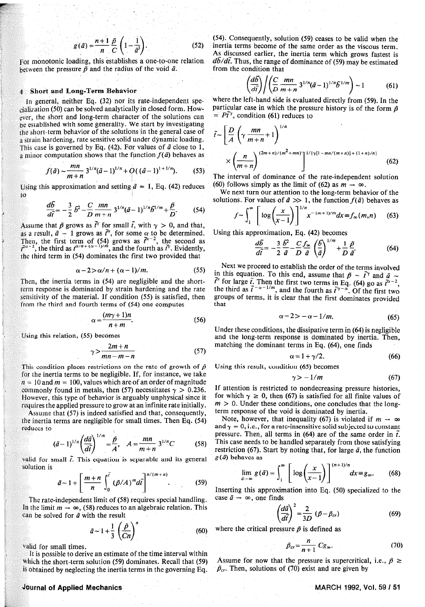$$
g(\tilde{a}) = \frac{n+1}{n} \frac{\tilde{p}}{C} \left( 1 - \frac{1}{\tilde{a}^3} \right).
$$
 (52)

For monotonic loading, this establishes a one-to-one relation between the pressure  $\tilde{p}$  and the radius of the void  $\tilde{a}$ .

#### 4, Short and Long-Term Behavior

Jn general, neither Eq. (32) nor its rate-independent spe $cialization$  (50) can be solved analytically in closed form. However, the short and long-term character of the solutions can be established with some generality. We start by investigating the short-term behavior of the solutions in the general case of a strain hardening, rate sensitive solid under dynamic loading. This case is governed by Eq.  $(42)$ . For values of  $\tilde{a}$  close to 1, a minor computation shows that the function  $f(\tilde{a})$  behaves as

$$
f(\tilde{a}) \sim \frac{mn}{m+n} 3^{1/n} (\tilde{a}-1)^{1/n} + O((\tilde{a}-1)^{1+1/n}). \tag{53}
$$

Using this approximation and setting  $\tilde{a} \approx 1$ , Eq. (42) reduces to

$$
\frac{d\tilde{b}}{d\tilde{t}} = -\frac{3}{2} \tilde{b}^2 - \frac{C}{D} \frac{mn}{m+n} 3^{1/n} (\tilde{a} - 1)^{1/n} \tilde{b}^{1/m} + \frac{\tilde{p}}{D}.
$$
 (54)

Assume that  $\tilde{p}$  grows as  $\tilde{t}^{\gamma}$  for small  $\tilde{t}$ , with  $\gamma > 0$ , and that, as a result,  $\tilde{a} - 1$  grows as  $\tilde{t}^{\alpha}$ , for some  $\alpha$  to be determined. Then, the first term of (54) grows as  $\tilde{l}^{\alpha-2}$ , the second as  $\tilde{l}^{\alpha-2}$ , the third as  $t^{\alpha/n+(\alpha-1)/m}$ , and the fourth as  $\tilde{l}'$ . Evidently, the third term in (54) dominates the first two provided that

$$
\alpha - 2 > \alpha/n + (\alpha - 1)/m. \tag{55}
$$

Then, the inertia terms in (54) are negligible and the shortterm response is dominated by strain hardening and the rate sensitivity of the material. If condition (55) is satisfied, then from the third and fourth terms of (54) one computes

$$
\alpha = \frac{(m\gamma + 1)n}{n + m}.\tag{56}
$$

Using this relation, (55) becomes

$$
\gamma > \frac{2m+n}{mn-m-n} \tag{57}
$$

This condition places restrictions on the rate of growth of  $\tilde{p}$ for the inertia terms to be negligible. If, for instance, we take  $n = 10$  and  $m = 100$ , values which are of an order of magnitude commonly found in metals, then (57) necessitates  $\gamma > 0.236$ . However, this type of behavior is arguably unphysical since it requires the applied pressure to grow at an infinite rate initially.

Assume that (57) is indeed satisfied and that, consequently, the inertia terms are negligible for small times. Then Eq. (54) reduces to

$$
(\tilde{a}-1)^{1/n} \left(\frac{d\tilde{a}}{d\tilde{t}}\right)^{1/m} = \frac{\tilde{p}}{A}, \quad A = \frac{mn}{m+n} \, 3^{1/n} C \tag{58}
$$

valid for small  $\tilde{t}$ . This equation is separable and its general solution is

$$
\tilde{a} \sim 1 + \left[\frac{m+n}{n}\int_0^{\tilde{t}} (\tilde{p}/A)^m d\tilde{t}\right]^{n/(m+n)}.
$$
 (59)

The rate-independent limit of (58) requires special handling. In the limit  $m \to \infty$ , (58) reduces to an algebraic relation. This can be solved for  $\tilde{a}$  with the result

$$
\tilde{a} \sim 1 + \frac{1}{3} \left( \frac{\tilde{p}}{Cn} \right)^n \tag{60}
$$

valid for small times.

It is possible to derive an estimate of the time interval within Which the short-term solution (59) dominates. Recall that (59) is obtained by neglecting the inertia terms in the governing Eq.

# Journal of Applied Mechanics

(54). Consequently, solution (59) ceases to be valid when the inertia terms become of the same order as the viscous term. As discussed earlier, the inertia term which grows fastest is  $d\bar{b}/d\bar{t}$ . Thus, the range of dominance of (59) may be estimated from the condition that

$$
\left(\frac{d\tilde{b}}{d\tilde{t}}\right) / \left(\frac{C}{D}\frac{mn}{m+n}3^{1/n}(\tilde{a}-1)^{1/n}\tilde{b}^{1/m}\right) \sim 1\tag{61}
$$

where the left-hand side is evaluated directly from (59). In the particular case in which the pressure history is of the form  $\tilde{p}$  $= P\tilde{t}^{\gamma}$ , condition (61) reduces to

$$
\tilde{t} \sim \left[\frac{D}{A} \left(\gamma \frac{mn}{m+n} + 1\right)^{1/n} + \frac{1}{m+n} \right]^{1/n}
$$
\n
$$
\times \left(\frac{n}{m+n}\right)^{(2m+n)/(m^2 + mn)} \right]^{1/[\gamma[1 - mn/(m+n)] + (1+n)/n]}
$$
\n(62)

The interval of dominance of the rate-independent solution (60) follows simply as the limit of (62) as  $m \to \infty$ .

We next turn our attention to the long-term behavior of the solutions. For values of  $\tilde{a} \gg 1$ , the function  $f(\tilde{a})$  behaves as

$$
f \sim \int_1^{\infty} \left[ \log \left( \frac{x}{x-1} \right) \right]^{1/n} x^{-(m+1)/m} dx \equiv f_{\infty}(m,n) \quad (63)
$$

Using this approximation, Eq. (42) becomes

$$
\frac{d\tilde{b}}{d\tilde{t}} = -\frac{3}{2}\frac{\tilde{b}^2}{\tilde{a}} - \frac{C f_{\infty}}{D} \left(\frac{\tilde{b}}{\tilde{a}}\right)^{1/m} + \frac{1}{D}\frac{\tilde{p}}{\tilde{a}}.
$$
 (64)

Next we proceed to establish the order of the terms involved in this equation. To this end, assume that  $\tilde{p} \sim \tilde{t}^{\gamma}$  and  $\tilde{a} \sim$  $\tilde{t}^{\alpha}$  for large  $\tilde{t}$ . Then the first two terms in Eq. (64) go as  $\tilde{t}^{\alpha-2}$ the third as  $\tilde{t}^{-\alpha-1/m}$ , and the fourth as  $\tilde{t}^{\gamma-\alpha}$ . Of the first two groups of terms, it is clear that the first dominates provided that

$$
\alpha - 2 > -\alpha - 1/m. \tag{65}
$$

Under these conditions, the dissipative term in (64) is negligible and the long-term response is dominated by inertia. Then, matching the dominant terms in Eq. (64), one finds

$$
\alpha = 1 + \gamma/2. \tag{66}
$$

Using this result, condition (65) becomes

$$
\gamma > -1/m \tag{67}
$$

If attention is restricted to nondecreasing pressure histories, for which  $\gamma \ge 0$ , then (67) is satisfied for all finite values of  $m > 0$ . Under these conditions, one concludes that the longterm response of the void is dominated by inertia.

Note, however, that inequality (67) is violated if  $m \to \infty$ and  $\gamma = 0$ , i.e., for a rate-insensitive solid subjected to constant pressure. Then, all terms in (64) are of the same order in  $\tilde{t}$ . This case needs to be handled separately from those satisfying restriction (67). Start by noting that, for large  $\tilde{a}$ , the function  $g(\tilde{a})$  behaves as

$$
\lim_{\tilde{a}\to\infty} g(\tilde{a}) = \int_1^\infty \left[ \log\left(\frac{x}{x-1}\right) \right]^{(n+1)/n} dx \equiv g_\infty. \tag{68}
$$

Inserting this approximation into Eq. (50) specialized to the case  $\tilde{a} \rightarrow \infty$ , one finds

$$
\left(\frac{d\tilde{a}}{d\tilde{t}}\right)^2 = \frac{2}{3D} \left(\tilde{p} - \tilde{p}_{cr}\right) \tag{69}
$$

where the critical pressure  $\tilde{p}$  is defined as

$$
\tilde{p}_{cr} = \frac{n}{n+1} C g_{\infty}.
$$
 (70)

Assume for now that the pressure is supercritical, i.e.,  $\tilde{p} \ge$  $\tilde{p}_{cr}$ . Then, solutions of (70) exist and are given by

### MARCH 1992, Vol. 59 / 51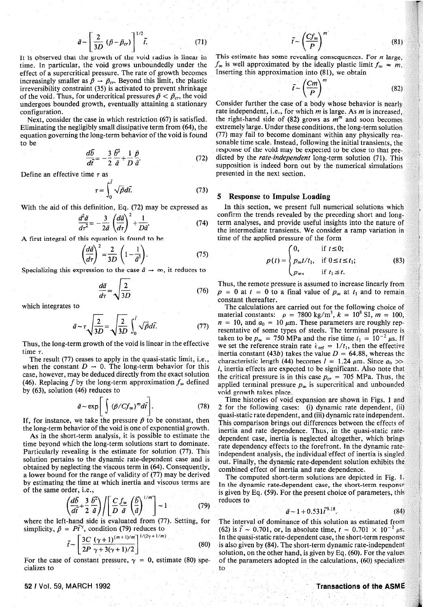$$
\tilde{a} \sim \left[\frac{2}{3D} \left(\tilde{p} - \tilde{p}_{cr}\right)\right]^{1/2} \tilde{t}.\tag{71}
$$

It is observed that the growth of the void radius is linear in time. In particular, the void grows unboundedly under the effect of a supercritical pressure. The rate of growth becomes increasingly smaller as  $\tilde{p} \rightarrow \tilde{p}_{cr}$ . Beyond this limit, the plastic irreversibility constraint (35) is activated to prevent shrinkage of the void. Thus, for undercritical pressures  $\tilde{p} < \tilde{p}_c$ , the void undergoes bounded growth, eventually attaining a stationary configuration.

Next, consider the case in which restriction (67) is satisfied. Eliminating the negligibly small dissipative term from (64), the equation governing the long-term behavior of the void is found to be

$$
\frac{d\bar{b}}{d\tilde{t}} = -\frac{3}{2}\frac{\tilde{b}^2}{\tilde{a}} + \frac{1}{D}\frac{\tilde{p}}{\tilde{a}}.\tag{72}
$$

Define an effective time  $\tau$  as

$$
\tau = \int_0^{\tilde{t}} \sqrt{\tilde{p}} d\tilde{t}.
$$
 (73)

With the aid of this definition, Eq. (72) may be expressed as

$$
\frac{d^2\tilde{a}}{d\tau^2} = -\frac{3}{2\tilde{a}}\left(\frac{d\tilde{a}}{d\tau}\right)^2 + \frac{1}{D\tilde{a}}.\tag{74}
$$

A first integral of this equation is found to he

$$
\left(\frac{d\vec{a}}{d\tau}\right)^2 = \frac{2}{3D} \left(1 - \frac{1}{\vec{a}^3}\right). \tag{75}
$$

Specializing this expression to the case  $\tilde{a} \rightarrow \infty$ , it reduces to

$$
\frac{d\tilde{a}}{d\tau} = \sqrt{\frac{2}{3D}}\tag{76}
$$

which integrates to

$$
\tilde{a} \sim \tau \sqrt{\frac{2}{3D}} = \sqrt{\frac{2}{3D}} \int_0^{\tilde{t}} \sqrt{\tilde{p}} d\tilde{t}.
$$
 (77)

Thus, the long-term growth of the void is linear in the effective time  $\tau$ .

The result (77) ceases to apply in the quasi-static limit, i.e., when the constant  $D \rightarrow 0$ . The long-term behavior for this case, however, may be deduced directly from the exact solution (46). Replacing f by the long-term approximation  $f_{\infty}$  defined by (63), solution (46) reduces to

$$
\tilde{a} \sim \exp\left[\int (\tilde{p}/Cf_{\infty})^m d\tilde{t}\right].
$$
 (78)

If, for instance, we take the pressure  $\tilde{p}$  to be constant, then the long-term behavior of the void is one of exponential growth.

As in the short-term analysis, it is possible to estimate the time beyond which the long-term solutions start to dominate. Particularly revealing is the estimate for solution (77). This solution pertains to the dynamic rate-dependent case and is obtained by neglecting the viscous term in (64). Consequently, a lower bound for the range of validity of (77) may be derived by estimating the time at which inertia and viscous terms are of the same order, i.e.,

$$
\left(\frac{d\vec{b}}{d\tilde{t}} + \frac{3}{2}\frac{\vec{b}^2}{\tilde{a}}\right) / \left[\frac{C}{D}\frac{f_{\infty}}{\tilde{a}}\left(\frac{\tilde{b}}{\tilde{a}}\right)^{1/m}\right] \sim 1\tag{79}
$$

where the left-hand side is evaluated from (77). Setting, for simplicity,  $\tilde{p} = P\tilde{t}^{\gamma}$ , condition (79) reduces to

$$
\tilde{t} \sim \left[ \frac{3C}{2P} \frac{(\gamma + 1)^{(m+1)/m}}{\gamma + 3(\gamma + 1)/2} \right]^{1/(2\gamma + 1/m)} \tag{80}
$$

For the case of constant pressure,  $\gamma = 0$ , estimate (80) specializes to

$$
\tilde{t} \sim \left(\frac{Cf_{\infty}}{P}\right)^m \tag{81}
$$

This estimate has some revealing consequences. Por *n* large,  $f_{\infty}$  is well approximated by the ideally plastic limit  $f_{\infty} \approx m$ . Inserting this approximation into (81), we obtain

$$
\tilde{t} \sim \left(\frac{Cm}{P}\right)^m \tag{82}
$$

Consider further the case of a body whose behavior is nearly rate independent, i.e., for which *m* is large. As mis increased, the right-hand side of  $(82)$  grows as  $m<sup>m</sup>$  and soon becomes extremely large. Under these conditions, the long-term solution (77) may fail to become dominant within any physically reasonable time scale. Instead, following the initial transients, the respouse of the void may be expected to be close to that predicted by the *rate-independent* long-term solution (71). This supposition is indeed born out by the numerical simulations presented in the next section.

### 5 Response to Impulse Loading

In this section, we present full numerical solutions which confirm the trends revealed by the preceding short and longterm analyses, and provide useful insights into the nature of the intermediate transients. We consider a ramp variation in time of the applied pressure of the form

$$
p(t) = \begin{cases} 0, & \text{if } t \leq 0; \\ p_{\infty}t/t_1, & \text{if } 0 \leq t \leq t_1; \\ p_{\infty}, & \text{if } t_1 \leq t. \end{cases}
$$
(83)

Thus, the remote pressure is assumed to increase linearly from  $p = 0$  at  $t = 0$  to a final value of  $p_{\infty}$  at  $t_1$  and to remain constant thereafter.

The calculations are carried out for the following choice of material constants:  $\rho = 7800 \text{ kg/m}^3$ ,  $k = 10^8 \text{ SI}$ ,  $m = 100$ ,  $n = 10$ , and  $a_0 = 10 \mu m$ . These parameters are roughly representative of some types of steels. The terminal pressure is taken to be  $p_{\infty}$  = 750 MPa and the rise time  $t_1 = 10^{-2} \mu s$ . If we set the reference strain rate  $\dot{\epsilon}_{ref} = 1/t_1$ , then the effective inertia constant (43b) takes the value  $D = 64.88$ , whereas the characteristic length (44) becomes  $l = 1.24 \mu m$ . Since  $a_0 \gg$ l, inertia effects are expected to be significant. Also note that the critical pressure is in this case  $p_{cr} = 705$  MPa. Thus, the applied terminal pressure  $p_{\infty}$  is supercritical and unbounded void growth takes place.

Time histories of void expansion are shown in Figs. l and 2 for the following cases: (i) dynamic rate dependent, (ii) quasi-static rate dependent, and (iii) dynamic rate independent. This comparison brings out differences between the effects of inertia and rate dependence. Thus, in the quasi-static ratedependent case, inertia is neglected altogether, which brings rate dependency effects to the forefront. In the dynamic rateindependent analysis, the individual effect of inertia is singled out. Finally, the dynamic rate-dependent solution exhibits the combined effect of inertia and rate dependence.

The computed short-term solutions are depicted in Fig. L In the dynamic rate-dependent case, the short-term response is given by Eq. (59). For the present choice of parameters, this reduces to

$$
\tilde{a} - 1 + 0.531 \tilde{t}^{9.18}.\tag{84}
$$

The interval of dominance of this solution as estimated from (62) is  $\tilde{t} \sim 0.701$ , or, in absolute time,  $t \sim 0.701 \times 10^{-2} \mu s$ . In the quasi~static rate-dependent case, the short-term response is also given by (84). The short-term dynamic rate-independent solution, on the other hand, is given by Eq. (60). For the values of the parameters adopted in the calculations, (60) specializes to

#### 52 I Vol. 59, MARCH 1992

## Transactions of the ASME